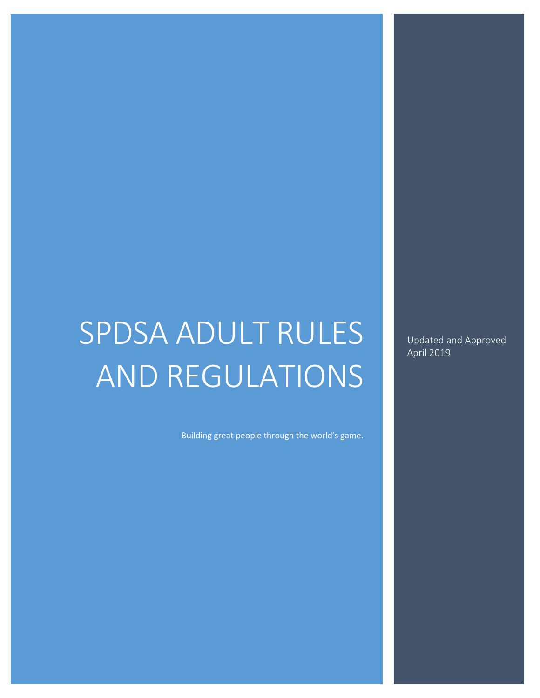# SPDSA ADULT RULES AND REGULATIONS

Building great people through the world's game.

Updated and Approved April 2019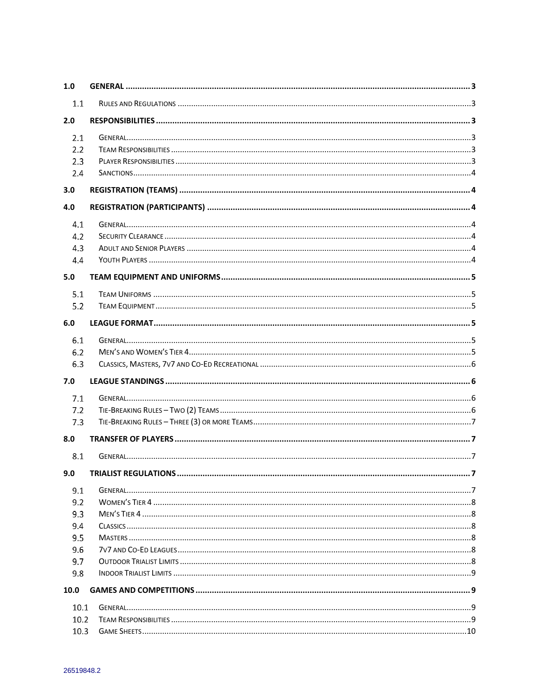| 1.0  |   |  |  |  |
|------|---|--|--|--|
| 1.1  |   |  |  |  |
| 2.0  |   |  |  |  |
| 2.1  |   |  |  |  |
| 2,2  |   |  |  |  |
| 2.3  |   |  |  |  |
| 2.4  |   |  |  |  |
| 3.0  |   |  |  |  |
| 4.0  |   |  |  |  |
| 4.1  |   |  |  |  |
| 4.2  |   |  |  |  |
| 4.3  |   |  |  |  |
| 4.4  |   |  |  |  |
| 5.0  |   |  |  |  |
| 5.1  |   |  |  |  |
| 5.2  |   |  |  |  |
| 6.0  |   |  |  |  |
|      |   |  |  |  |
| 6.1  |   |  |  |  |
| 6.2  |   |  |  |  |
| 6.3  |   |  |  |  |
|      |   |  |  |  |
| 7.0  |   |  |  |  |
| 7.1  |   |  |  |  |
| 7.2  |   |  |  |  |
| 7.3  |   |  |  |  |
| 8.0  |   |  |  |  |
| 8.1  |   |  |  |  |
|      |   |  |  |  |
| 9.0  | 7 |  |  |  |
| 9.1  |   |  |  |  |
| 9.2  |   |  |  |  |
| 9.3  |   |  |  |  |
| 9.4  |   |  |  |  |
| 9.5  |   |  |  |  |
| 9.6  |   |  |  |  |
| 9.7  |   |  |  |  |
| 9.8  |   |  |  |  |
| 10.0 |   |  |  |  |
| 10.1 |   |  |  |  |
| 10.2 |   |  |  |  |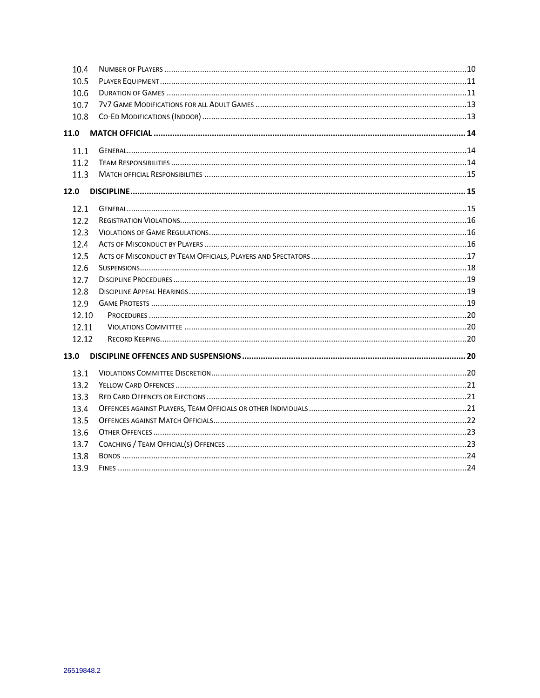| 10.4  |  |  |  |  |  |  |  |  |
|-------|--|--|--|--|--|--|--|--|
| 10.5  |  |  |  |  |  |  |  |  |
| 10.6  |  |  |  |  |  |  |  |  |
| 10.7  |  |  |  |  |  |  |  |  |
| 10.8  |  |  |  |  |  |  |  |  |
| 11.0  |  |  |  |  |  |  |  |  |
| 11.1  |  |  |  |  |  |  |  |  |
| 11.2  |  |  |  |  |  |  |  |  |
| 11.3  |  |  |  |  |  |  |  |  |
| 12.0  |  |  |  |  |  |  |  |  |
| 12.1  |  |  |  |  |  |  |  |  |
| 12.2  |  |  |  |  |  |  |  |  |
| 12.3  |  |  |  |  |  |  |  |  |
| 12.4  |  |  |  |  |  |  |  |  |
| 12.5  |  |  |  |  |  |  |  |  |
| 12.6  |  |  |  |  |  |  |  |  |
| 12.7  |  |  |  |  |  |  |  |  |
| 12.8  |  |  |  |  |  |  |  |  |
| 12.9  |  |  |  |  |  |  |  |  |
| 12.10 |  |  |  |  |  |  |  |  |
| 12.11 |  |  |  |  |  |  |  |  |
| 12.12 |  |  |  |  |  |  |  |  |
| 13.0  |  |  |  |  |  |  |  |  |
| 13.1  |  |  |  |  |  |  |  |  |
| 13.2  |  |  |  |  |  |  |  |  |
| 13.3  |  |  |  |  |  |  |  |  |
| 13.4  |  |  |  |  |  |  |  |  |
| 13.5  |  |  |  |  |  |  |  |  |
| 13.6  |  |  |  |  |  |  |  |  |
| 13.7  |  |  |  |  |  |  |  |  |
| 13.8  |  |  |  |  |  |  |  |  |
| 13.9  |  |  |  |  |  |  |  |  |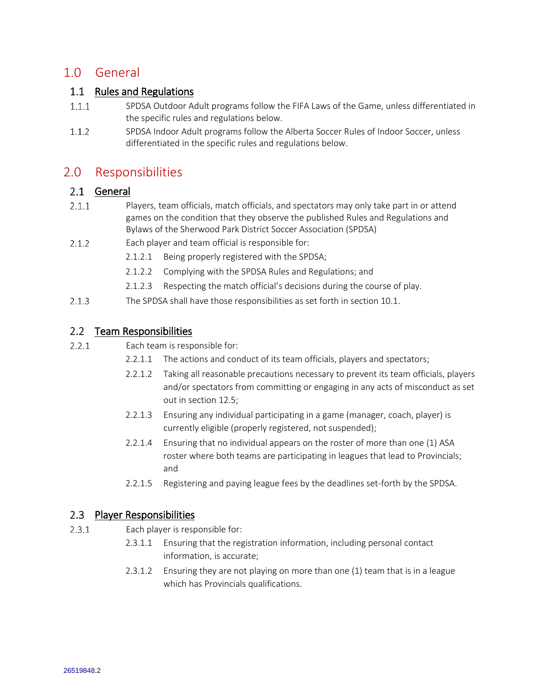# <span id="page-3-0"></span>1.0 General

### <span id="page-3-1"></span>1.1 Rules and Regulations

- $1.1.1$ SPDSA Outdoor Adult programs follow the FIFA Laws of the Game, unless differentiated in the specific rules and regulations below.
- $1.1.2$ SPDSA Indoor Adult programs follow the Alberta Soccer Rules of Indoor Soccer, unless differentiated in the specific rules and regulations below.

## <span id="page-3-2"></span>2.0 Responsibilities

### <span id="page-3-3"></span>2.1 General

- $2.1.1$ Players, team officials, match officials, and spectators may only take part in or attend games on the condition that they observe the published Rules and Regulations and Bylaws of the Sherwood Park District Soccer Association (SPDSA)
- $2.1.2$ Each player and team official is responsible for:
	- 2.1.2.1 Being properly registered with the SPDSA;
	- 2.1.2.2 Complying with the SPDSA Rules and Regulations; and
	- 2.1.2.3 Respecting the match official's decisions during the course of play.
- $2.1.3$ The SPDSA shall have those responsibilities as set forth in section 10.1.

### <span id="page-3-4"></span>2.2 Team Responsibilities

- $2.2.1$ Each team is responsible for:
	- 2.2.1.1 The actions and conduct of its team officials, players and spectators;
	- 2.2.1.2 Taking all reasonable precautions necessary to prevent its team officials, players and/or spectators from committing or engaging in any acts of misconduct as set out in section 12.5;
	- 2.2.1.3 Ensuring any individual participating in a game (manager, coach, player) is currently eligible (properly registered, not suspended);
	- 2.2.1.4 Ensuring that no individual appears on the roster of more than one (1) ASA roster where both teams are participating in leagues that lead to Provincials; and
	- 2.2.1.5 Registering and paying league fees by the deadlines set-forth by the SPDSA.

### <span id="page-3-5"></span>2.3 Player Responsibilities

- $2.3.1$ Each player is responsible for:
	- 2.3.1.1 Ensuring that the registration information, including personal contact information, is accurate;
	- 2.3.1.2 Ensuring they are not playing on more than one (1) team that is in a league which has Provincials qualifications.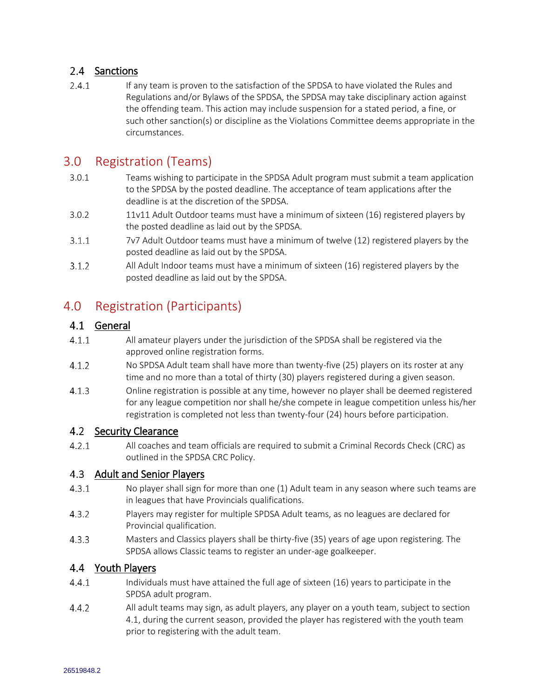### <span id="page-4-0"></span>2.4 Sanctions

 $2.4.1$ If any team is proven to the satisfaction of the SPDSA to have violated the Rules and Regulations and/or Bylaws of the SPDSA, the SPDSA may take disciplinary action against the offending team. This action may include suspension for a stated period, a fine, or such other sanction(s) or discipline as the Violations Committee deems appropriate in the circumstances.

# <span id="page-4-1"></span>3.0 Registration (Teams)

- 3.0.1 Teams wishing to participate in the SPDSA Adult program must submit a team application to the SPDSA by the posted deadline. The acceptance of team applications after the deadline is at the discretion of the SPDSA.
- 3.0.2 11v11 Adult Outdoor teams must have a minimum of sixteen (16) registered players by the posted deadline as laid out by the SPDSA.
- $3.1.1$ 7v7 Adult Outdoor teams must have a minimum of twelve (12) registered players by the posted deadline as laid out by the SPDSA.
- $3.1.2$ All Adult Indoor teams must have a minimum of sixteen (16) registered players by the posted deadline as laid out by the SPDSA.

# <span id="page-4-2"></span>4.0 Registration (Participants)

### <span id="page-4-3"></span>4.1 General

- $4.1.1$ All amateur players under the jurisdiction of the SPDSA shall be registered via the approved online registration forms.
- $4.1.2$ No SPDSA Adult team shall have more than twenty-five (25) players on its roster at any time and no more than a total of thirty (30) players registered during a given season.
- $4.1.3$ Online registration is possible at any time, however no player shall be deemed registered for any league competition nor shall he/she compete in league competition unless his/her registration is completed not less than twenty-four (24) hours before participation.

### <span id="page-4-4"></span>4.2 Security Clearance

 $4.2.1$ All coaches and team officials are required to submit a Criminal Records Check (CRC) as outlined in the SPDSA CRC Policy.

### <span id="page-4-5"></span>4.3 Adult and Senior Players

- $4.3.1$ No player shall sign for more than one (1) Adult team in any season where such teams are in leagues that have Provincials qualifications.
- $4.3.2$ Players may register for multiple SPDSA Adult teams, as no leagues are declared for Provincial qualification.
- $4.3.3$ Masters and Classics players shall be thirty-five (35) years of age upon registering. The SPDSA allows Classic teams to register an under-age goalkeeper.

### <span id="page-4-6"></span>4.4 Youth Players

- $4.4.1$ Individuals must have attained the full age of sixteen (16) years to participate in the SPDSA adult program.
- $4.4.2$ All adult teams may sign, as adult players, any player on a youth team, subject to section 4.1, during the current season, provided the player has registered with the youth team prior to registering with the adult team.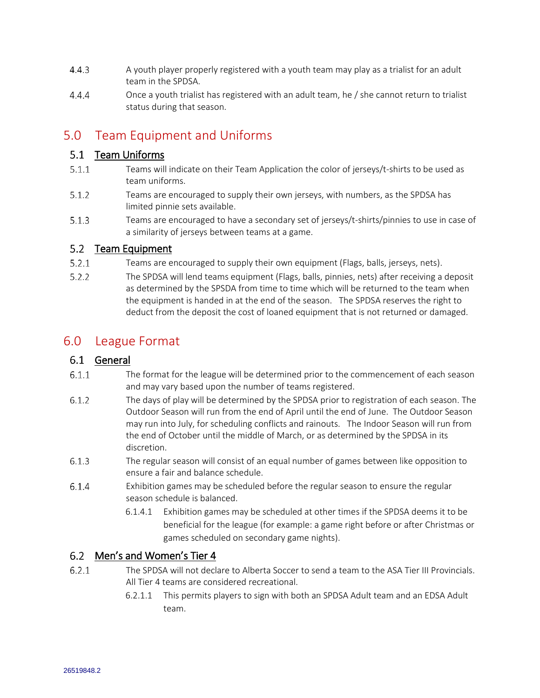- $4.4.3$ A youth player properly registered with a youth team may play as a trialist for an adult team in the SPDSA.
- $4.4.4$ Once a youth trialist has registered with an adult team, he / she cannot return to trialist status during that season.

# <span id="page-5-0"></span>5.0 Team Equipment and Uniforms

### <span id="page-5-1"></span>5.1 Team Uniforms

- $5.1.1$ Teams will indicate on their Team Application the color of jerseys/t-shirts to be used as team uniforms.
- $5.1.2$ Teams are encouraged to supply their own jerseys, with numbers, as the SPDSA has limited pinnie sets available.
- $5.1.3$ Teams are encouraged to have a secondary set of jerseys/t-shirts/pinnies to use in case of a similarity of jerseys between teams at a game.

### <span id="page-5-2"></span>5.2 Team Equipment

- $5.2.1$ Teams are encouraged to supply their own equipment (Flags, balls, jerseys, nets).
- $5.2.2$ The SPDSA will lend teams equipment (Flags, balls, pinnies, nets) after receiving a deposit as determined by the SPSDA from time to time which will be returned to the team when the equipment is handed in at the end of the season. The SPDSA reserves the right to deduct from the deposit the cost of loaned equipment that is not returned or damaged.

# <span id="page-5-3"></span>6.0 League Format

### <span id="page-5-4"></span>6.1 General

- $6.1.1$ The format for the league will be determined prior to the commencement of each season and may vary based upon the number of teams registered.
- $6.1.2$ The days of play will be determined by the SPDSA prior to registration of each season. The Outdoor Season will run from the end of April until the end of June. The Outdoor Season may run into July, for scheduling conflicts and rainouts. The Indoor Season will run from the end of October until the middle of March, or as determined by the SPDSA in its discretion.
- $6.1.3$ The regular season will consist of an equal number of games between like opposition to ensure a fair and balance schedule.
- $6.1.4$ Exhibition games may be scheduled before the regular season to ensure the regular season schedule is balanced.
	- 6.1.4.1 Exhibition games may be scheduled at other times if the SPDSA deems it to be beneficial for the league (for example: a game right before or after Christmas or games scheduled on secondary game nights).

### <span id="page-5-5"></span>Men's and Women's Tier 4

- $6.2.1$ The SPDSA will not declare to Alberta Soccer to send a team to the ASA Tier III Provincials. All Tier 4 teams are considered recreational.
	- 6.2.1.1 This permits players to sign with both an SPDSA Adult team and an EDSA Adult team.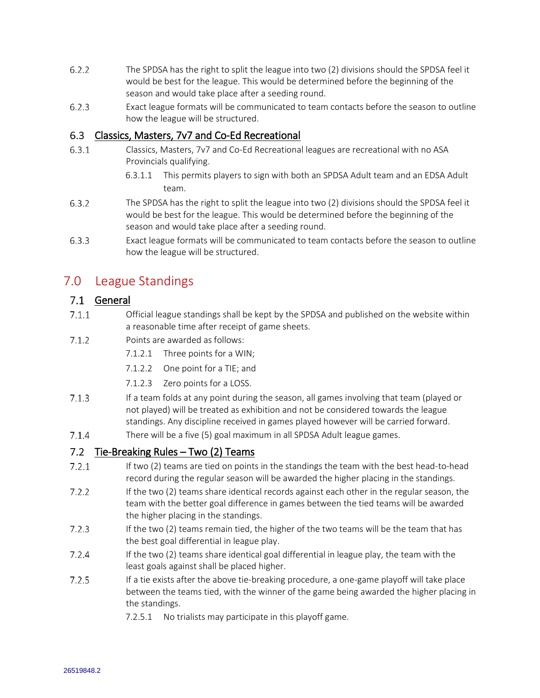- $6.2.2$ The SPDSA has the right to split the league into two (2) divisions should the SPDSA feel it would be best for the league. This would be determined before the beginning of the season and would take place after a seeding round.
- $6.2.3$ Exact league formats will be communicated to team contacts before the season to outline how the league will be structured.

#### <span id="page-6-0"></span> $6.3$ Classics, Masters, 7v7 and Co-Ed Recreational

- $6.3.1$ Classics, Masters, 7v7 and Co-Ed Recreational leagues are recreational with no ASA Provincials qualifying.
	- 6.3.1.1 This permits players to sign with both an SPDSA Adult team and an EDSA Adult team.
- $6.3.2$ The SPDSA has the right to split the league into two (2) divisions should the SPDSA feel it would be best for the league. This would be determined before the beginning of the season and would take place after a seeding round.
- $6.3.3$ Exact league formats will be communicated to team contacts before the season to outline how the league will be structured.

# <span id="page-6-1"></span>7.0 League Standings

### <span id="page-6-2"></span>7.1 General

- $7.1.1$ Official league standings shall be kept by the SPDSA and published on the website within a reasonable time after receipt of game sheets.
- $7.1.2$ Points are awarded as follows:
	- 7.1.2.1 Three points for a WIN;
	- 7.1.2.2 One point for a TIE; and
	- 7.1.2.3 Zero points for a LOSS.
- $7.1.3$ If a team folds at any point during the season, all games involving that team (played or not played) will be treated as exhibition and not be considered towards the league standings. Any discipline received in games played however will be carried forward.
- $7.1.4$ There will be a five (5) goal maximum in all SPDSA Adult league games.

### <span id="page-6-3"></span>7.2 Tie-Breaking Rules – Two (2) Teams

- If two (2) teams are tied on points in the standings the team with the best head-to-head  $7.2.1$ record during the regular season will be awarded the higher placing in the standings.
- $7.2.2$ If the two (2) teams share identical records against each other in the regular season, the team with the better goal difference in games between the tied teams will be awarded the higher placing in the standings.
- $7.2.3$ If the two (2) teams remain tied, the higher of the two teams will be the team that has the best goal differential in league play.
- $7.2.4$ If the two (2) teams share identical goal differential in league play, the team with the least goals against shall be placed higher.
- $7.2.5$ If a tie exists after the above tie-breaking procedure, a one-game playoff will take place between the teams tied, with the winner of the game being awarded the higher placing in the standings.
	- 7.2.5.1 No trialists may participate in this playoff game.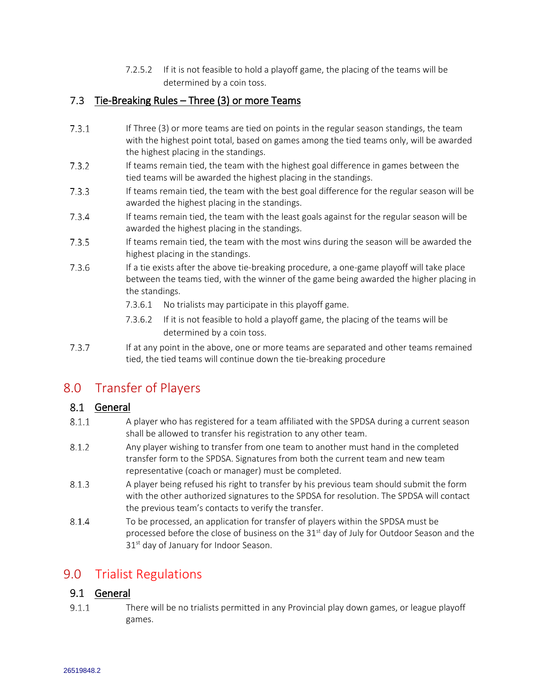7.2.5.2 If it is not feasible to hold a playoff game, the placing of the teams will be determined by a coin toss.

### <span id="page-7-0"></span>7.3 Tie-Breaking Rules – Three (3) or more Teams

- $7.3.1$ If Three (3) or more teams are tied on points in the regular season standings, the team with the highest point total, based on games among the tied teams only, will be awarded the highest placing in the standings.
- $7.3.2$ If teams remain tied, the team with the highest goal difference in games between the tied teams will be awarded the highest placing in the standings.
- $7.3.3$ If teams remain tied, the team with the best goal difference for the regular season will be awarded the highest placing in the standings.
- $7.3.4$ If teams remain tied, the team with the least goals against for the regular season will be awarded the highest placing in the standings.
- $7.3.5$ If teams remain tied, the team with the most wins during the season will be awarded the highest placing in the standings.
- $7.3.6$ If a tie exists after the above tie-breaking procedure, a one-game playoff will take place between the teams tied, with the winner of the game being awarded the higher placing in the standings.
	- 7.3.6.1 No trialists may participate in this playoff game.
	- 7.3.6.2 If it is not feasible to hold a playoff game, the placing of the teams will be determined by a coin toss.
- $7.3.7$ If at any point in the above, one or more teams are separated and other teams remained tied, the tied teams will continue down the tie-breaking procedure

# <span id="page-7-1"></span>8.0 Transfer of Players

### <span id="page-7-2"></span>8.1 General

- $8.1.1$ A player who has registered for a team affiliated with the SPDSA during a current season shall be allowed to transfer his registration to any other team.
- $8.1.2$ Any player wishing to transfer from one team to another must hand in the completed transfer form to the SPDSA. Signatures from both the current team and new team representative (coach or manager) must be completed.
- $8.1.3$ A player being refused his right to transfer by his previous team should submit the form with the other authorized signatures to the SPDSA for resolution. The SPDSA will contact the previous team's contacts to verify the transfer.
- 8.1.4 To be processed, an application for transfer of players within the SPDSA must be processed before the close of business on the 31<sup>st</sup> day of July for Outdoor Season and the 31<sup>st</sup> day of January for Indoor Season.

# <span id="page-7-3"></span>9.0 Trialist Regulations

### <span id="page-7-4"></span>9.1 General

 $9.1.1$ There will be no trialists permitted in any Provincial play down games, or league playoff games.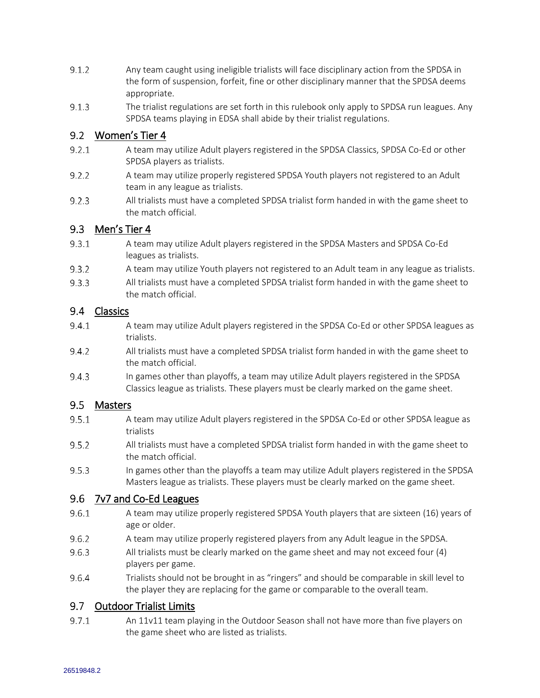- $9.1.2$ Any team caught using ineligible trialists will face disciplinary action from the SPDSA in the form of suspension, forfeit, fine or other disciplinary manner that the SPDSA deems appropriate.
- $9.1.3$ The trialist regulations are set forth in this rulebook only apply to SPDSA run leagues. Any SPDSA teams playing in EDSA shall abide by their trialist regulations.

### <span id="page-8-0"></span>9.2 Women's Tier 4

- $9.2.1$ A team may utilize Adult players registered in the SPDSA Classics, SPDSA Co-Ed or other SPDSA players as trialists.
- $9.2.2$ A team may utilize properly registered SPDSA Youth players not registered to an Adult team in any league as trialists.
- $9.2.3$ All trialists must have a completed SPDSA trialist form handed in with the game sheet to the match official.

#### <span id="page-8-1"></span> $9.3$ Men's Tier 4

- $9.3.1$ A team may utilize Adult players registered in the SPDSA Masters and SPDSA Co-Ed leagues as trialists.
- $9.3.2$ A team may utilize Youth players not registered to an Adult team in any league as trialists.
- $9.3.3$ All trialists must have a completed SPDSA trialist form handed in with the game sheet to the match official.

### <span id="page-8-2"></span>9.4 Classics

- $9.4.1$ A team may utilize Adult players registered in the SPDSA Co-Ed or other SPDSA leagues as trialists.
- $9.4.2$ All trialists must have a completed SPDSA trialist form handed in with the game sheet to the match official.
- $9.4.3$ In games other than playoffs, a team may utilize Adult players registered in the SPDSA Classics league as trialists. These players must be clearly marked on the game sheet.

### <span id="page-8-3"></span>9.5 Masters

- $9.5.1$ A team may utilize Adult players registered in the SPDSA Co-Ed or other SPDSA league as trialists
- $9.5.2$ All trialists must have a completed SPDSA trialist form handed in with the game sheet to the match official.
- $9.5.3$ In games other than the playoffs a team may utilize Adult players registered in the SPDSA Masters league as trialists. These players must be clearly marked on the game sheet.

### <span id="page-8-4"></span>9.6 7v7 and Co-Ed Leagues

- $9.6.1$ A team may utilize properly registered SPDSA Youth players that are sixteen (16) years of age or older.
- 9.6.2 A team may utilize properly registered players from any Adult league in the SPDSA.
- $9.6.3$ All trialists must be clearly marked on the game sheet and may not exceed four (4) players per game.
- 9.6.4 Trialists should not be brought in as "ringers" and should be comparable in skill level to the player they are replacing for the game or comparable to the overall team.

### <span id="page-8-5"></span>9.7 Outdoor Trialist Limits

 $9.7.1$ An 11v11 team playing in the Outdoor Season shall not have more than five players on the game sheet who are listed as trialists.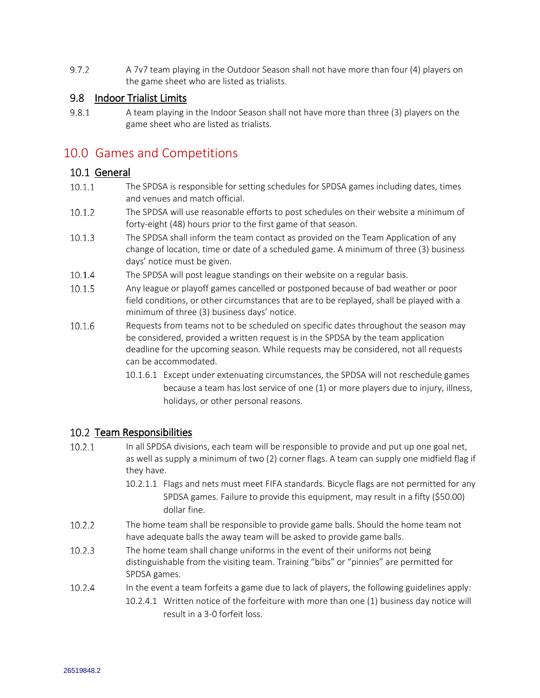$9.7.2$ A 7v7 team playing in the Outdoor Season shall not have more than four (4) players on the game sheet who are listed as trialists.

### <span id="page-9-0"></span>9.8 Indoor Trialist Limits

 $9.8.1$ A team playing in the Indoor Season shall not have more than three (3) players on the game sheet who are listed as trialists.

# <span id="page-9-1"></span>10.0 Games and Competitions

### <span id="page-9-2"></span>10.1 General

- $10.1.1$ The SPDSA is responsible for setting schedules for SPDSA games including dates, times and venues and match official.
- 10.1.2 The SPDSA will use reasonable efforts to post schedules on their website a minimum of forty-eight (48) hours prior to the first game of that season.
- $10.1.3$ The SPDSA shall inform the team contact as provided on the Team Application of any change of location, time or date of a scheduled game. A minimum of three (3) business days' notice must be given.
- $10.1.4$ The SPDSA will post league standings on their website on a regular basis.
- $10.1.5$ Any league or playoff games cancelled or postponed because of bad weather or poor field conditions, or other circumstances that are to be replayed, shall be played with a minimum of three (3) business days' notice.
- 10.1.6 Requests from teams not to be scheduled on specific dates throughout the season may be considered, provided a written request is in the SPDSA by the team application deadline for the upcoming season. While requests may be considered, not all requests can be accommodated.
	- 10.1.6.1 Except under extenuating circumstances, the SPDSA will not reschedule games because a team has lost service of one (1) or more players due to injury, illness, holidays, or other personal reasons.

### <span id="page-9-3"></span>10.2 Team Responsibilities

- $10.2.1$ In all SPDSA divisions, each team will be responsible to provide and put up one goal net, as well as supply a minimum of two (2) corner flags. A team can supply one midfield flag if they have.
	- 10.2.1.1 Flags and nets must meet FIFA standards. Bicycle flags are not permitted for any SPDSA games. Failure to provide this equipment, may result in a fifty (\$50.00) dollar fine.
- $10.2.2$ The home team shall be responsible to provide game balls. Should the home team not have adequate balls the away team will be asked to provide game balls.
- $10.2.3$ The home team shall change uniforms in the event of their uniforms not being distinguishable from the visiting team. Training "bibs" or "pinnies" are permitted for SPDSA games.
- 10.2.4 In the event a team forfeits a game due to lack of players, the following guidelines apply: 10.2.4.1 Written notice of the forfeiture with more than one (1) business day notice will result in a 3-0 forfeit loss.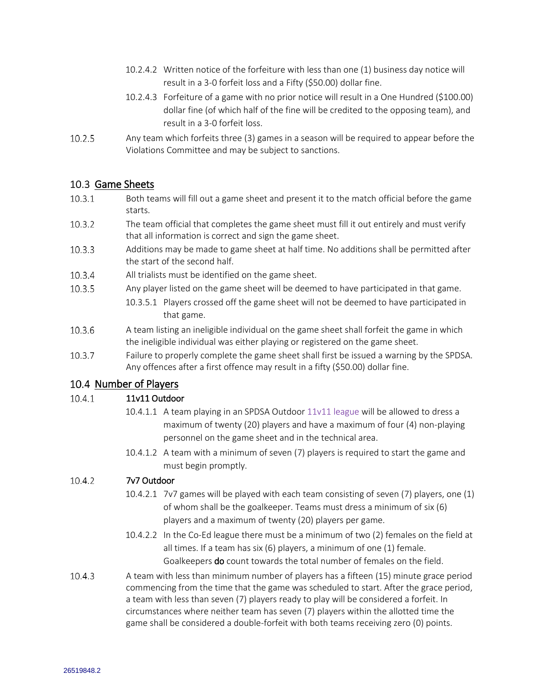- 10.2.4.2 Written notice of the forfeiture with less than one (1) business day notice will result in a 3-0 forfeit loss and a Fifty (\$50.00) dollar fine.
- 10.2.4.3 Forfeiture of a game with no prior notice will result in a One Hundred (\$100.00) dollar fine (of which half of the fine will be credited to the opposing team), and result in a 3-0 forfeit loss.
- $10.2.5$ Any team which forfeits three (3) games in a season will be required to appear before the Violations Committee and may be subject to sanctions.

### <span id="page-10-0"></span>10.3 Game Sheets

- $10.3.1$ Both teams will fill out a game sheet and present it to the match official before the game starts.
- $10.3.2$ The team official that completes the game sheet must fill it out entirely and must verify that all information is correct and sign the game sheet.
- $10.3.3$ Additions may be made to game sheet at half time. No additions shall be permitted after the start of the second half.
- 10.3.4 All trialists must be identified on the game sheet.
- $10.3.5$ Any player listed on the game sheet will be deemed to have participated in that game.
	- 10.3.5.1 Players crossed off the game sheet will not be deemed to have participated in that game.
- 10.3.6 A team listing an ineligible individual on the game sheet shall forfeit the game in which the ineligible individual was either playing or registered on the game sheet.
- $10.3.7$ Failure to properly complete the game sheet shall first be issued a warning by the SPDSA. Any offences after a first offence may result in a fifty (\$50.00) dollar fine.

### <span id="page-10-1"></span>10.4 Number of Players

#### $10.4.1$ 11v11 Outdoor

- 10.4.1.1 A team playing in an SPDSA Outdoor 11v11 league will be allowed to dress a maximum of twenty (20) players and have a maximum of four (4) non-playing personnel on the game sheet and in the technical area.
- 10.4.1.2 A team with a minimum of seven (7) players is required to start the game and must begin promptly.

#### $10.4.2$ 7v7 Outdoor

- 10.4.2.1 7v7 games will be played with each team consisting of seven (7) players, one (1) of whom shall be the goalkeeper. Teams must dress a minimum of six (6) players and a maximum of twenty (20) players per game.
- 10.4.2.2 In the Co-Ed league there must be a minimum of two (2) females on the field at all times. If a team has six (6) players, a minimum of one (1) female. Goalkeepers do count towards the total number of females on the field.
- $10.4.3$ A team with less than minimum number of players has a fifteen (15) minute grace period commencing from the time that the game was scheduled to start. After the grace period, a team with less than seven (7) players ready to play will be considered a forfeit. In circumstances where neither team has seven (7) players within the allotted time the game shall be considered a double-forfeit with both teams receiving zero (0) points.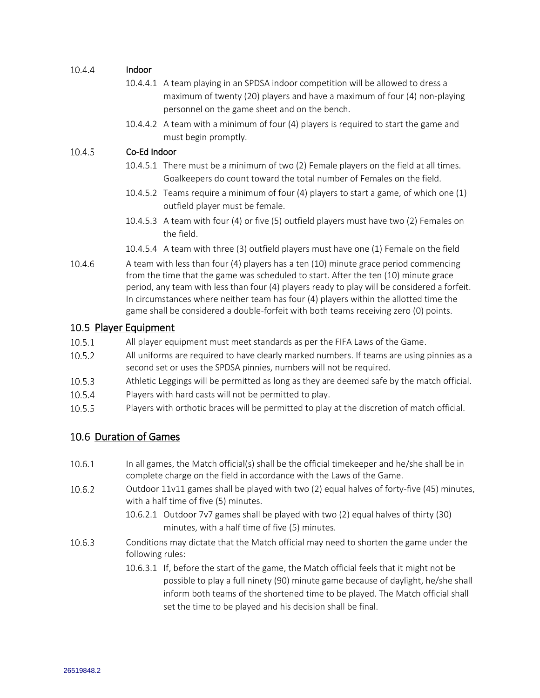#### 10.4.4 Indoor

- 10.4.4.1 A team playing in an SPDSA indoor competition will be allowed to dress a maximum of twenty (20) players and have a maximum of four (4) non-playing personnel on the game sheet and on the bench.
- 10.4.4.2 A team with a minimum of four (4) players is required to start the game and must begin promptly.

#### 10.4.5 Co-Ed Indoor

- 10.4.5.1 There must be a minimum of two (2) Female players on the field at all times. Goalkeepers do count toward the total number of Females on the field.
- 10.4.5.2 Teams require a minimum of four (4) players to start a game, of which one (1) outfield player must be female.
- 10.4.5.3 A team with four (4) or five (5) outfield players must have two (2) Females on the field.
- 10.4.5.4 A team with three (3) outfield players must have one (1) Female on the field
- $10.4.6$ A team with less than four (4) players has a ten (10) minute grace period commencing from the time that the game was scheduled to start. After the ten (10) minute grace period, any team with less than four (4) players ready to play will be considered a forfeit. In circumstances where neither team has four (4) players within the allotted time the game shall be considered a double-forfeit with both teams receiving zero (0) points.

### <span id="page-11-0"></span>10.5 Player Equipment

- $10.5.1$ All player equipment must meet standards as per the FIFA Laws of the Game.
- $10.5.2$ All uniforms are required to have clearly marked numbers. If teams are using pinnies as a second set or uses the SPDSA pinnies, numbers will not be required.
- 10.5.3 Athletic Leggings will be permitted as long as they are deemed safe by the match official.
- 10.5.4 Players with hard casts will not be permitted to play.
- 10.5.5 Players with orthotic braces will be permitted to play at the discretion of match official.

### <span id="page-11-1"></span>10.6 Duration of Games

- In all games, the Match official(s) shall be the official timekeeper and he/she shall be in 10.6.1 complete charge on the field in accordance with the Laws of the Game.
- 10.6.2 Outdoor 11v11 games shall be played with two (2) equal halves of forty-five (45) minutes, with a half time of five (5) minutes.
	- 10.6.2.1 Outdoor 7v7 games shall be played with two (2) equal halves of thirty (30) minutes, with a half time of five (5) minutes.
- 10.6.3 Conditions may dictate that the Match official may need to shorten the game under the following rules:
	- 10.6.3.1 If, before the start of the game, the Match official feels that it might not be possible to play a full ninety (90) minute game because of daylight, he/she shall inform both teams of the shortened time to be played. The Match official shall set the time to be played and his decision shall be final.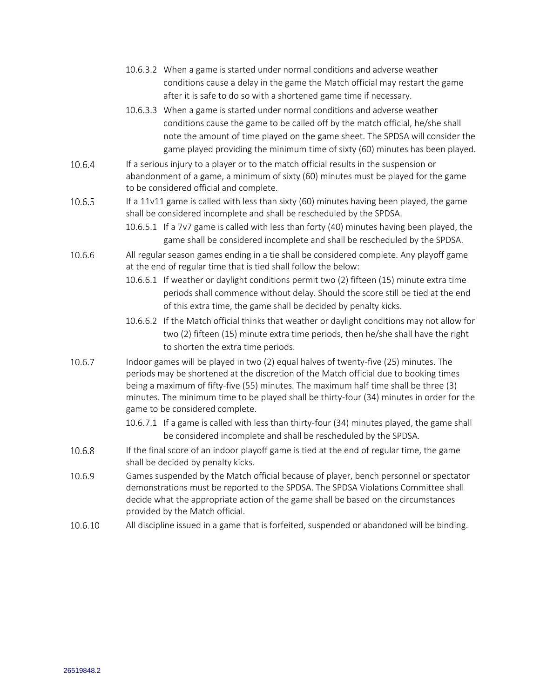|         | 10.6.3.2 When a game is started under normal conditions and adverse weather<br>conditions cause a delay in the game the Match official may restart the game<br>after it is safe to do so with a shortened game time if necessary.                                                                                                                                                                     |  |  |
|---------|-------------------------------------------------------------------------------------------------------------------------------------------------------------------------------------------------------------------------------------------------------------------------------------------------------------------------------------------------------------------------------------------------------|--|--|
|         | 10.6.3.3 When a game is started under normal conditions and adverse weather<br>conditions cause the game to be called off by the match official, he/she shall<br>note the amount of time played on the game sheet. The SPDSA will consider the<br>game played providing the minimum time of sixty (60) minutes has been played.                                                                       |  |  |
| 10.6.4  | If a serious injury to a player or to the match official results in the suspension or<br>abandonment of a game, a minimum of sixty (60) minutes must be played for the game<br>to be considered official and complete.                                                                                                                                                                                |  |  |
| 10.6.5  | If a 11v11 game is called with less than sixty (60) minutes having been played, the game<br>shall be considered incomplete and shall be rescheduled by the SPDSA.<br>10.6.5.1 If a 7v7 game is called with less than forty (40) minutes having been played, the                                                                                                                                       |  |  |
| 10.6.6  | game shall be considered incomplete and shall be rescheduled by the SPDSA.<br>All regular season games ending in a tie shall be considered complete. Any playoff game<br>at the end of regular time that is tied shall follow the below:                                                                                                                                                              |  |  |
|         | 10.6.6.1 If weather or daylight conditions permit two (2) fifteen (15) minute extra time<br>periods shall commence without delay. Should the score still be tied at the end<br>of this extra time, the game shall be decided by penalty kicks.                                                                                                                                                        |  |  |
|         | 10.6.6.2 If the Match official thinks that weather or daylight conditions may not allow for<br>two (2) fifteen (15) minute extra time periods, then he/she shall have the right<br>to shorten the extra time periods.                                                                                                                                                                                 |  |  |
| 10.6.7  | Indoor games will be played in two (2) equal halves of twenty-five (25) minutes. The<br>periods may be shortened at the discretion of the Match official due to booking times<br>being a maximum of fifty-five (55) minutes. The maximum half time shall be three (3)<br>minutes. The minimum time to be played shall be thirty-four (34) minutes in order for the<br>game to be considered complete. |  |  |
|         | 10.6.7.1 If a game is called with less than thirty-four (34) minutes played, the game shall<br>be considered incomplete and shall be rescheduled by the SPDSA.                                                                                                                                                                                                                                        |  |  |
| 10.6.8  | If the final score of an indoor playoff game is tied at the end of regular time, the game<br>shall be decided by penalty kicks.                                                                                                                                                                                                                                                                       |  |  |
| 10.6.9  | Games suspended by the Match official because of player, bench personnel or spectator<br>demonstrations must be reported to the SPDSA. The SPDSA Violations Committee shall<br>decide what the appropriate action of the game shall be based on the circumstances<br>provided by the Match official.                                                                                                  |  |  |
| 10.6.10 | All discipline issued in a game that is forfeited, suspended or abandoned will be binding.                                                                                                                                                                                                                                                                                                            |  |  |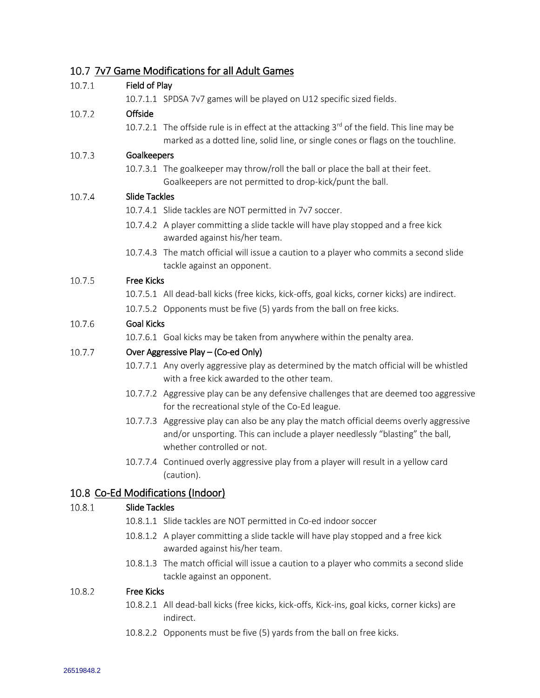## <span id="page-13-0"></span>7v7 Game Modifications for all Adult Games

| 10.7.1 | Field of Play                       |                                                                                                                                                                                                        |  |  |  |
|--------|-------------------------------------|--------------------------------------------------------------------------------------------------------------------------------------------------------------------------------------------------------|--|--|--|
|        |                                     | 10.7.1.1 SPDSA 7v7 games will be played on U12 specific sized fields.                                                                                                                                  |  |  |  |
| 10.7.2 | Offside                             |                                                                                                                                                                                                        |  |  |  |
|        |                                     | 10.7.2.1 The offside rule is in effect at the attacking 3rd of the field. This line may be<br>marked as a dotted line, solid line, or single cones or flags on the touchline.                          |  |  |  |
| 10.7.3 | Goalkeepers                         |                                                                                                                                                                                                        |  |  |  |
|        |                                     | 10.7.3.1 The goalkeeper may throw/roll the ball or place the ball at their feet.<br>Goalkeepers are not permitted to drop-kick/punt the ball.                                                          |  |  |  |
| 10.7.4 | <b>Slide Tackles</b>                |                                                                                                                                                                                                        |  |  |  |
|        |                                     | 10.7.4.1 Slide tackles are NOT permitted in 7v7 soccer.                                                                                                                                                |  |  |  |
|        |                                     | 10.7.4.2 A player committing a slide tackle will have play stopped and a free kick<br>awarded against his/her team.                                                                                    |  |  |  |
|        |                                     | 10.7.4.3 The match official will issue a caution to a player who commits a second slide<br>tackle against an opponent.                                                                                 |  |  |  |
| 10.7.5 | <b>Free Kicks</b>                   |                                                                                                                                                                                                        |  |  |  |
|        |                                     | 10.7.5.1 All dead-ball kicks (free kicks, kick-offs, goal kicks, corner kicks) are indirect.                                                                                                           |  |  |  |
|        |                                     | 10.7.5.2 Opponents must be five (5) yards from the ball on free kicks.                                                                                                                                 |  |  |  |
| 10.7.6 | <b>Goal Kicks</b>                   |                                                                                                                                                                                                        |  |  |  |
|        |                                     | 10.7.6.1 Goal kicks may be taken from anywhere within the penalty area.                                                                                                                                |  |  |  |
| 10.7.7 | Over Aggressive Play - (Co-ed Only) |                                                                                                                                                                                                        |  |  |  |
|        |                                     | 10.7.7.1 Any overly aggressive play as determined by the match official will be whistled<br>with a free kick awarded to the other team.                                                                |  |  |  |
|        |                                     | 10.7.7.2 Aggressive play can be any defensive challenges that are deemed too aggressive<br>for the recreational style of the Co-Ed league.                                                             |  |  |  |
|        |                                     | 10.7.7.3 Aggressive play can also be any play the match official deems overly aggressive<br>and/or unsporting. This can include a player needlessly "blasting" the ball,<br>whether controlled or not. |  |  |  |
|        |                                     | 10.7.7.4 Continued overly aggressive play from a player will result in a yellow card<br>(caution).                                                                                                     |  |  |  |
|        |                                     | 10.8 Co-Ed Modifications (Indoor)                                                                                                                                                                      |  |  |  |
| 10.8.1 | <b>Slide Tackles</b>                |                                                                                                                                                                                                        |  |  |  |
|        |                                     | 10.8.1.1 Slide tackles are NOT permitted in Co-ed indoor soccer                                                                                                                                        |  |  |  |
|        |                                     |                                                                                                                                                                                                        |  |  |  |

- <span id="page-13-1"></span>10.8.1.2 A player committing a slide tackle will have play stopped and a free kick awarded against his/her team.
- 10.8.1.3 The match official will issue a caution to a player who commits a second slide tackle against an opponent.

#### 10.8.2 Free Kicks

- 10.8.2.1 All dead-ball kicks (free kicks, kick-offs, Kick-ins, goal kicks, corner kicks) are indirect.
- 10.8.2.2 Opponents must be five (5) yards from the ball on free kicks.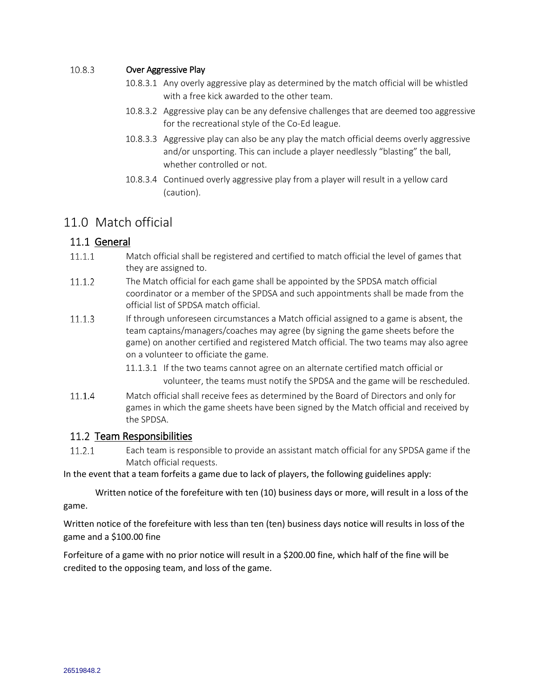#### 10.8.3 Over Aggressive Play

- 10.8.3.1 Any overly aggressive play as determined by the match official will be whistled with a free kick awarded to the other team.
- 10.8.3.2 Aggressive play can be any defensive challenges that are deemed too aggressive for the recreational style of the Co-Ed league.
- 10.8.3.3 Aggressive play can also be any play the match official deems overly aggressive and/or unsporting. This can include a player needlessly "blasting" the ball, whether controlled or not.
- 10.8.3.4 Continued overly aggressive play from a player will result in a yellow card (caution).

# <span id="page-14-0"></span>11.0 Match official

### <span id="page-14-1"></span>11.1 General

- $11.1.1$ Match official shall be registered and certified to match official the level of games that they are assigned to.
- $11.1.2$ The Match official for each game shall be appointed by the SPDSA match official coordinator or a member of the SPDSA and such appointments shall be made from the official list of SPDSA match official.
- $11.1.3$ If through unforeseen circumstances a Match official assigned to a game is absent, the team captains/managers/coaches may agree (by signing the game sheets before the game) on another certified and registered Match official. The two teams may also agree on a volunteer to officiate the game.
	- 11.1.3.1 If the two teams cannot agree on an alternate certified match official or volunteer, the teams must notify the SPDSA and the game will be rescheduled.
- $11.1.4$ Match official shall receive fees as determined by the Board of Directors and only for games in which the game sheets have been signed by the Match official and received by the SPDSA.

### <span id="page-14-2"></span>11.2 Team Responsibilities

 $11.2.1$ Each team is responsible to provide an assistant match official for any SPDSA game if the Match official requests.

In the event that a team forfeits a game due to lack of players, the following guidelines apply:

Written notice of the forefeiture with ten (10) business days or more, will result in a loss of the game.

Written notice of the forefeiture with less than ten (ten) business days notice will results in loss of the game and a \$100.00 fine

Forfeiture of a game with no prior notice will result in a \$200.00 fine, which half of the fine will be credited to the opposing team, and loss of the game.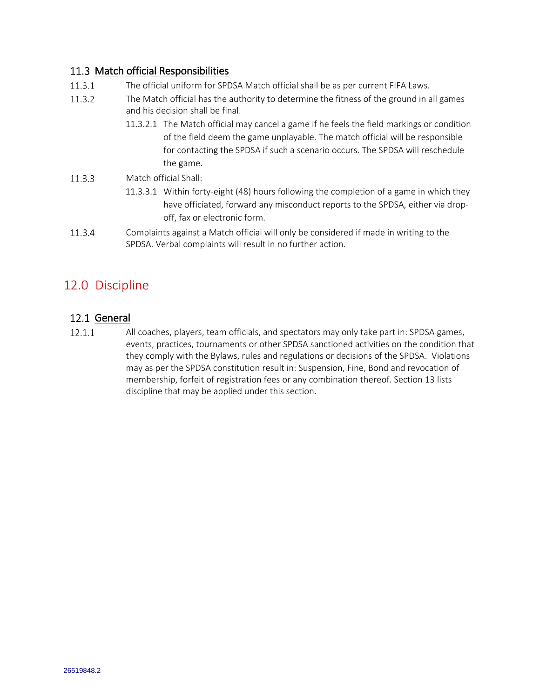### <span id="page-15-0"></span>11.3 Match official Responsibilities

- $11.3.1$ The official uniform for SPDSA Match official shall be as per current FIFA Laws.
- 11.3.2 The Match official has the authority to determine the fitness of the ground in all games and his decision shall be final.
	- 11.3.2.1 The Match official may cancel a game if he feels the field markings or condition of the field deem the game unplayable. The match official will be responsible for contacting the SPDSA if such a scenario occurs. The SPDSA will reschedule the game.
- 11.3.3 Match official Shall:
	- 11.3.3.1 Within forty-eight (48) hours following the completion of a game in which they have officiated, forward any misconduct reports to the SPDSA, either via dropoff, fax or electronic form.
- 11.3.4 Complaints against a Match official will only be considered if made in writing to the SPDSA. Verbal complaints will result in no further action.

# <span id="page-15-1"></span>12.0 Discipline

### <span id="page-15-2"></span>12.1 General

 $12.1.1$ All coaches, players, team officials, and spectators may only take part in: SPDSA games, events, practices, tournaments or other SPDSA sanctioned activities on the condition that they comply with the Bylaws, rules and regulations or decisions of the SPDSA. Violations may as per the SPDSA constitution result in: Suspension, Fine, Bond and revocation of membership, forfeit of registration fees or any combination thereof. Section 13 lists discipline that may be applied under this section.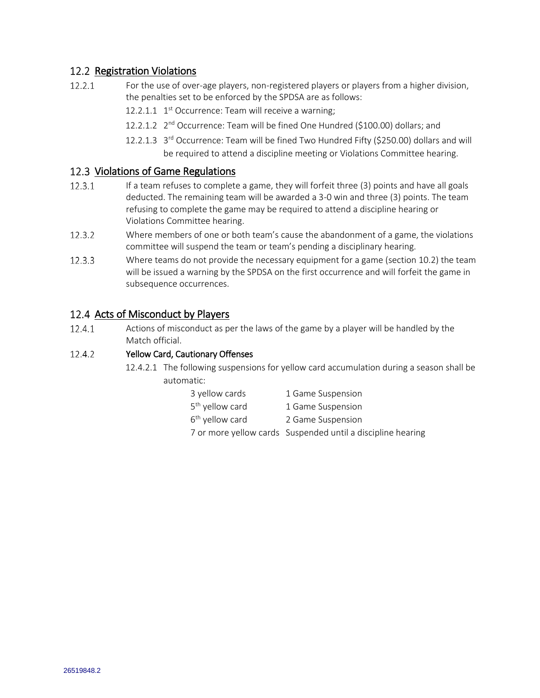### <span id="page-16-0"></span>12.2 Registration Violations

- $12.2.1$ For the use of over-age players, non-registered players or players from a higher division, the penalties set to be enforced by the SPDSA are as follows:
	- 12.2.1.1  $1<sup>st</sup>$  Occurrence: Team will receive a warning;
	- 12.2.1.2 2<sup>nd</sup> Occurrence: Team will be fined One Hundred (\$100.00) dollars; and
	- 12.2.1.3 3<sup>rd</sup> Occurrence: Team will be fined Two Hundred Fifty (\$250.00) dollars and will be required to attend a discipline meeting or Violations Committee hearing.

### <span id="page-16-1"></span>12.3 Violations of Game Regulations

- If a team refuses to complete a game, they will forfeit three (3) points and have all goals  $12.3.1$ deducted. The remaining team will be awarded a 3-0 win and three (3) points. The team refusing to complete the game may be required to attend a discipline hearing or Violations Committee hearing.
- $12.3.2$ Where members of one or both team's cause the abandonment of a game, the violations committee will suspend the team or team's pending a disciplinary hearing.
- $12.3.3$ Where teams do not provide the necessary equipment for a game (section 10.2) the team will be issued a warning by the SPDSA on the first occurrence and will forfeit the game in subsequence occurrences.

### <span id="page-16-2"></span>12.4 Acts of Misconduct by Players

 $12.4.1$ Actions of misconduct as per the laws of the game by a player will be handled by the Match official.

#### $12.4.2$ Yellow Card, Cautionary Offenses

- 12.4.2.1 The following suspensions for yellow card accumulation during a season shall be automatic:
	- 3 yellow cards 1 Game Suspension
	- 5<sup>th</sup> yellow card 1 Game Suspension
	- $6<sup>th</sup>$  yellow card
	- 7 or more yellow cards Suspended until a discipline hearing

2 Game Suspension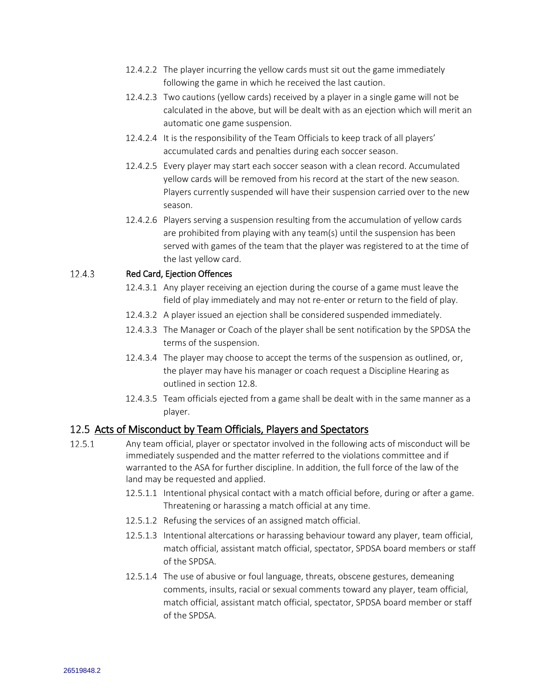- 12.4.2.2 The player incurring the yellow cards must sit out the game immediately following the game in which he received the last caution.
- 12.4.2.3 Two cautions (yellow cards) received by a player in a single game will not be calculated in the above, but will be dealt with as an ejection which will merit an automatic one game suspension.
- 12.4.2.4 It is the responsibility of the Team Officials to keep track of all players' accumulated cards and penalties during each soccer season.
- 12.4.2.5 Every player may start each soccer season with a clean record. Accumulated yellow cards will be removed from his record at the start of the new season. Players currently suspended will have their suspension carried over to the new season.
- 12.4.2.6 Players serving a suspension resulting from the accumulation of yellow cards are prohibited from playing with any team(s) until the suspension has been served with games of the team that the player was registered to at the time of the last yellow card.

#### 12.4.3 Red Card, Ejection Offences

- 12.4.3.1 Any player receiving an ejection during the course of a game must leave the field of play immediately and may not re-enter or return to the field of play.
- 12.4.3.2 A player issued an ejection shall be considered suspended immediately.
- 12.4.3.3 The Manager or Coach of the player shall be sent notification by the SPDSA the terms of the suspension.
- 12.4.3.4 The player may choose to accept the terms of the suspension as outlined, or, the player may have his manager or coach request a Discipline Hearing as outlined in section 12.8.
- 12.4.3.5 Team officials ejected from a game shall be dealt with in the same manner as a player.

### <span id="page-17-0"></span>12.5 Acts of Misconduct by Team Officials, Players and Spectators

- $12.5.1$ Any team official, player or spectator involved in the following acts of misconduct will be immediately suspended and the matter referred to the violations committee and if warranted to the ASA for further discipline. In addition, the full force of the law of the land may be requested and applied.
	- 12.5.1.1 Intentional physical contact with a match official before, during or after a game. Threatening or harassing a match official at any time.
	- 12.5.1.2 Refusing the services of an assigned match official.
	- 12.5.1.3 Intentional altercations or harassing behaviour toward any player, team official, match official, assistant match official, spectator, SPDSA board members or staff of the SPDSA.
	- 12.5.1.4 The use of abusive or foul language, threats, obscene gestures, demeaning comments, insults, racial or sexual comments toward any player, team official, match official, assistant match official, spectator, SPDSA board member or staff of the SPDSA.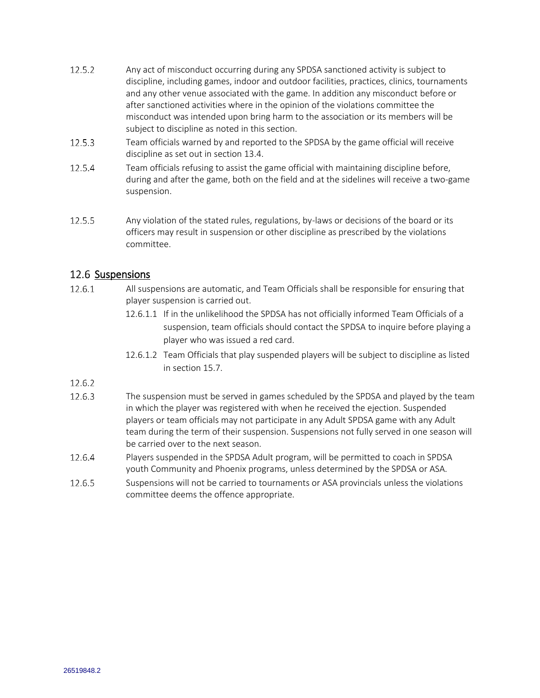- 12.5.2 Any act of misconduct occurring during any SPDSA sanctioned activity is subject to discipline, including games, indoor and outdoor facilities, practices, clinics, tournaments and any other venue associated with the game. In addition any misconduct before or after sanctioned activities where in the opinion of the violations committee the misconduct was intended upon bring harm to the association or its members will be subject to discipline as noted in this section.
- $12.5.3$ Team officials warned by and reported to the SPDSA by the game official will receive discipline as set out in section 13.4.
- 12.5.4 Team officials refusing to assist the game official with maintaining discipline before, during and after the game, both on the field and at the sidelines will receive a two-game suspension.
- $12.5.5$ Any violation of the stated rules, regulations, by-laws or decisions of the board or its officers may result in suspension or other discipline as prescribed by the violations committee.

### <span id="page-18-0"></span>12.6 Suspensions

- $12.6.1$ All suspensions are automatic, and Team Officials shall be responsible for ensuring that player suspension is carried out.
	- 12.6.1.1 If in the unlikelihood the SPDSA has not officially informed Team Officials of a suspension, team officials should contact the SPDSA to inquire before playing a player who was issued a red card.
	- 12.6.1.2 Team Officials that play suspended players will be subject to discipline as listed in section 15.7.

### 12.6.2

- 12.6.3 The suspension must be served in games scheduled by the SPDSA and played by the team in which the player was registered with when he received the ejection. Suspended players or team officials may not participate in any Adult SPDSA game with any Adult team during the term of their suspension. Suspensions not fully served in one season will be carried over to the next season.
- 12.6.4 Players suspended in the SPDSA Adult program, will be permitted to coach in SPDSA youth Community and Phoenix programs, unless determined by the SPDSA or ASA.
- 12.6.5 Suspensions will not be carried to tournaments or ASA provincials unless the violations committee deems the offence appropriate.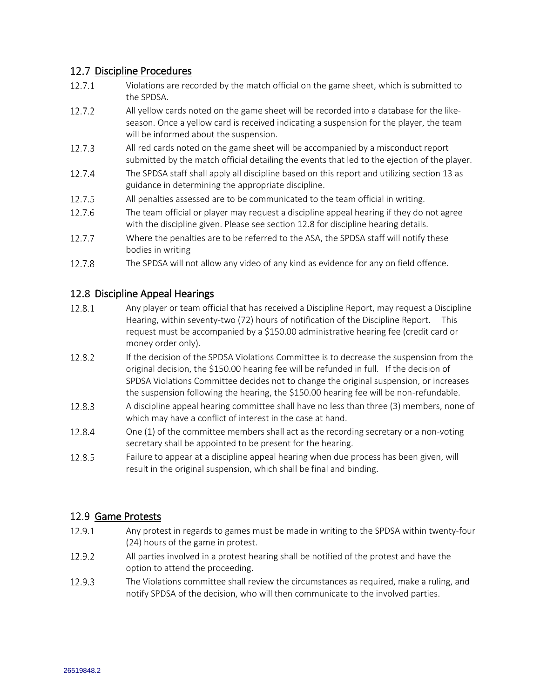### <span id="page-19-0"></span>12.7 Discipline Procedures

- $12.7.1$ Violations are recorded by the match official on the game sheet, which is submitted to the SPDSA.
- 12.7.2 All yellow cards noted on the game sheet will be recorded into a database for the likeseason. Once a yellow card is received indicating a suspension for the player, the team will be informed about the suspension.
- 12.7.3 All red cards noted on the game sheet will be accompanied by a misconduct report submitted by the match official detailing the events that led to the ejection of the player.
- 12.7.4 The SPDSA staff shall apply all discipline based on this report and utilizing section 13 as guidance in determining the appropriate discipline.
- 12.7.5 All penalties assessed are to be communicated to the team official in writing.
- 12.7.6 The team official or player may request a discipline appeal hearing if they do not agree with the discipline given. Please see section 12.8 for discipline hearing details.
- 12.7.7 Where the penalties are to be referred to the ASA, the SPDSA staff will notify these bodies in writing
- 12.7.8 The SPDSA will not allow any video of any kind as evidence for any on field offence.

### <span id="page-19-1"></span>12.8 Discipline Appeal Hearings

- 12.8.1 Any player or team official that has received a Discipline Report, may request a Discipline Hearing, within seventy-two (72) hours of notification of the Discipline Report. This request must be accompanied by a \$150.00 administrative hearing fee (credit card or money order only).
- 12.8.2 If the decision of the SPDSA Violations Committee is to decrease the suspension from the original decision, the \$150.00 hearing fee will be refunded in full. If the decision of SPDSA Violations Committee decides not to change the original suspension, or increases the suspension following the hearing, the \$150.00 hearing fee will be non-refundable.
- 12.8.3 A discipline appeal hearing committee shall have no less than three (3) members, none of which may have a conflict of interest in the case at hand.
- 12.8.4 One (1) of the committee members shall act as the recording secretary or a non-voting secretary shall be appointed to be present for the hearing.
- 12.8.5 Failure to appear at a discipline appeal hearing when due process has been given, will result in the original suspension, which shall be final and binding.

### <span id="page-19-2"></span>12.9 Game Protests

- 12.9.1 Any protest in regards to games must be made in writing to the SPDSA within twenty-four (24) hours of the game in protest.
- 12.9.2 All parties involved in a protest hearing shall be notified of the protest and have the option to attend the proceeding.
- 12.9.3 The Violations committee shall review the circumstances as required, make a ruling, and notify SPDSA of the decision, who will then communicate to the involved parties.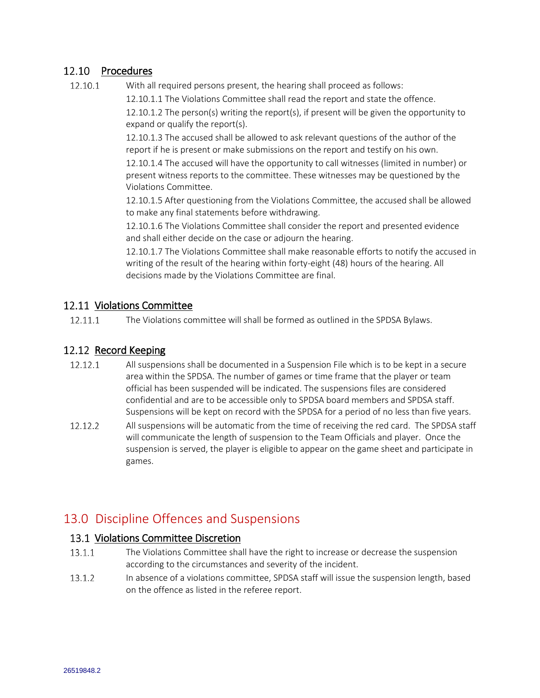### <span id="page-20-0"></span>12.10 Procedures

12.10.1 With all required persons present, the hearing shall proceed as follows:

12.10.1.1 The Violations Committee shall read the report and state the offence.

12.10.1.2 The person(s) writing the report(s), if present will be given the opportunity to expand or qualify the report(s).

12.10.1.3 The accused shall be allowed to ask relevant questions of the author of the report if he is present or make submissions on the report and testify on his own.

12.10.1.4 The accused will have the opportunity to call witnesses (limited in number) or present witness reports to the committee. These witnesses may be questioned by the Violations Committee.

12.10.1.5 After questioning from the Violations Committee, the accused shall be allowed to make any final statements before withdrawing.

12.10.1.6 The Violations Committee shall consider the report and presented evidence and shall either decide on the case or adjourn the hearing.

12.10.1.7 The Violations Committee shall make reasonable efforts to notify the accused in writing of the result of the hearing within forty-eight (48) hours of the hearing. All decisions made by the Violations Committee are final.

### <span id="page-20-1"></span>12.11 Violations Committee

12.11.1 The Violations committee will shall be formed as outlined in the SPDSA Bylaws.

### <span id="page-20-2"></span>12.12 Record Keeping

- 12.12.1 All suspensions shall be documented in a Suspension File which is to be kept in a secure area within the SPDSA. The number of games or time frame that the player or team official has been suspended will be indicated. The suspensions files are considered confidential and are to be accessible only to SPDSA board members and SPDSA staff. Suspensions will be kept on record with the SPDSA for a period of no less than five years.
- $12.12.2$ All suspensions will be automatic from the time of receiving the red card. The SPDSA staff will communicate the length of suspension to the Team Officials and player. Once the suspension is served, the player is eligible to appear on the game sheet and participate in games.

# <span id="page-20-3"></span>13.0 Discipline Offences and Suspensions

### <span id="page-20-4"></span>13.1 Violations Committee Discretion

- The Violations Committee shall have the right to increase or decrease the suspension  $13.1.1$ according to the circumstances and severity of the incident.
- $13.1.2$ In absence of a violations committee, SPDSA staff will issue the suspension length, based on the offence as listed in the referee report.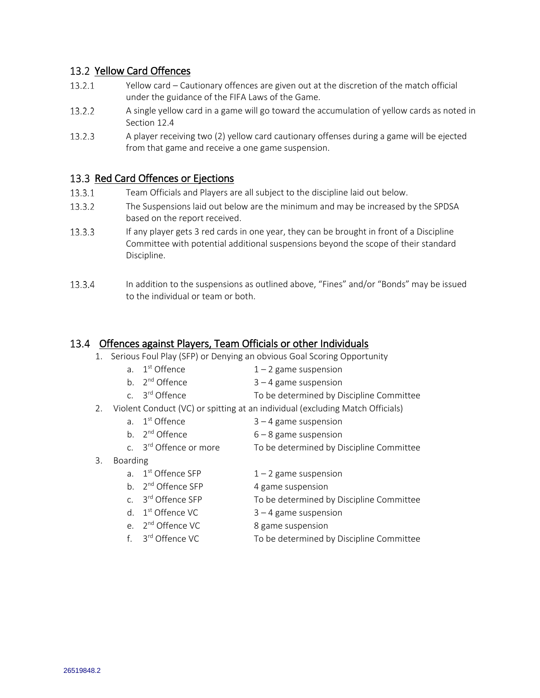### <span id="page-21-0"></span>13.2 Yellow Card Offences

- $13.2.1$ Yellow card – Cautionary offences are given out at the discretion of the match official under the guidance of the FIFA Laws of the Game.
- 13.2.2 A single yellow card in a game will go toward the accumulation of yellow cards as noted in Section 12.4
- 13.2.3 A player receiving two (2) yellow card cautionary offenses during a game will be ejected from that game and receive a one game suspension.

### <span id="page-21-1"></span>13.3 Red Card Offences or Ejections

- 13.3.1 Team Officials and Players are all subject to the discipline laid out below.
- 13.3.2 The Suspensions laid out below are the minimum and may be increased by the SPDSA based on the report received.
- 13.3.3 If any player gets 3 red cards in one year, they can be brought in front of a Discipline Committee with potential additional suspensions beyond the scope of their standard Discipline.
- 13.3.4 In addition to the suspensions as outlined above, "Fines" and/or "Bonds" may be issued to the individual or team or both.

### <span id="page-21-2"></span>13.4 Offences against Players, Team Officials or other Individuals

- 1. Serious Foul Play (SFP) or Denying an obvious Goal Scoring Opportunity
	- a. 1<sup>st</sup> Offence  $1 - 2$  game suspension
	- b. 2<sup>nd</sup> Offence  $3 - 4$  game suspension
	- c. 3<sup>rd</sup> Offence To be determined by Discipline Committee
- 2. Violent Conduct (VC) or spitting at an individual (excluding Match Officials)
	- a. 1<sup>st</sup> Offence  $3 - 4$  game suspension
		- $6 8$  game suspension
	- c. 3<sup>rd</sup> Offence or more To be determined by Discipline Committee
- 3. Boarding
	- a. 1<sup>st</sup> Offence SFP  $1 - 2$  game suspension
	- b. 2<sup>nd</sup> Offence SFP

b. 2<sup>nd</sup> Offence

- 4 game suspension
- c. 3<sup>rd</sup> Offence SFP To be determined by Discipline Committee d. 1<sup>st</sup> Offence VC
	- $3 4$  game suspension
- e. 2<sup>nd</sup> Offence VC 8 game suspension
- f. 3<sup>rd</sup> Offence VC To be determined by Discipline Committee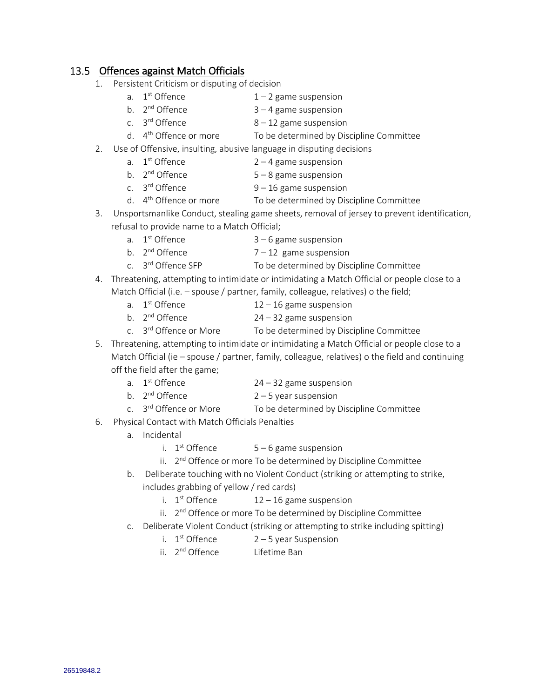### <span id="page-22-0"></span>13.5 Offences against Match Officials

- 1. Persistent Criticism or disputing of decision
	- a. 1<sup>st</sup> Offence  $1 - 2$  game suspension
	- b. 2<sup>nd</sup> Offence  $3 - 4$  game suspension
	- c. 3<sup>rd</sup> Offence  $8 - 12$  game suspension
	- d.  $4<sup>th</sup>$  Offence or more To be determined by Discipline Committee

### 2. Use of Offensive, insulting, abusive language in disputing decisions

- a. 1<sup>st</sup> Offence  $2 - 4$  game suspension
- b. 2<sup>nd</sup> Offence  $5 - 8$  game suspension
- c. 3<sup>rd</sup> Offence  $9 - 16$  game suspension
- d.  $4<sup>th</sup>$  Offence or more To be determined by Discipline Committee
- 3. Unsportsmanlike Conduct, stealing game sheets, removal of jersey to prevent identification, refusal to provide name to a Match Official;
	- a 1st Offence  $3 - 6$  game suspension
	- b. 2<sup>nd</sup> Offence  $7 - 12$  game suspension
	- c. 3<sup>rd</sup> Offence SFP To be determined by Discipline Committee
- 4. Threatening, attempting to intimidate or intimidating a Match Official or people close to a Match Official (i.e. – spouse / partner, family, colleague, relatives) o the field;
	- a. 1<sup>st</sup> Offence  $12 - 16$  game suspension
	- b. 2<sup>nd</sup> Offence  $24 - 32$  game suspension
	- c. 3<sup>rd</sup> Offence or More To be determined by Discipline Committee
- 5. Threatening, attempting to intimidate or intimidating a Match Official or people close to a Match Official (ie – spouse / partner, family, colleague, relatives) o the field and continuing off the field after the game;
	- a. 1st Offence  $24 - 32$  game suspension
	- b. 2<sup>nd</sup> Offence  $2 - 5$  year suspension
	- c. 3<sup>rd</sup> Offence or More To be determined by Discipline Committee
- 6. Physical Contact with Match Officials Penalties
	- a. Incidental
		- i. 1<sup>st</sup> Offence  $5 - 6$  game suspension

ii. 2<sup>nd</sup> Offence or more To be determined by Discipline Committee

- b. Deliberate touching with no Violent Conduct (striking or attempting to strike, includes grabbing of yellow / red cards)
	- i.  $1<sup>st</sup>$  Offence  $12 - 16$  game suspension
	- ii. 2<sup>nd</sup> Offence or more To be determined by Discipline Committee
- c. Deliberate Violent Conduct (striking or attempting to strike including spitting)
	- i. 1<sup>st</sup> Offence  $2 - 5$  year Suspension
	- ii. 2<sup>nd</sup> Offence Lifetime Ban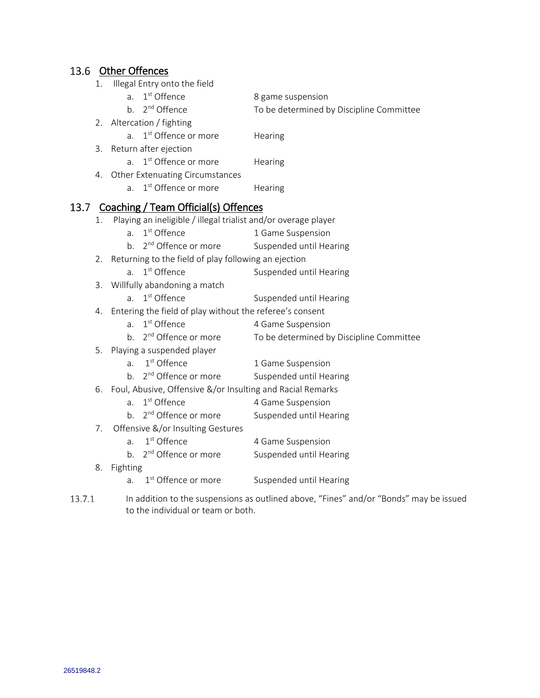<span id="page-23-0"></span>

|  | 13.6 Other Offences |
|--|---------------------|
|  |                     |

1. Illegal Entry onto the field

a. 1<sup>st</sup> Offence 8 game suspension To be determined by Discipline Committee

b.  $2^{nd}$  Offence

2. Altercation / fighting

a. 1<sup>st</sup> Offence or more **Hearing** 

3. Return after ejection

a. 1<sup>st</sup> Offence or more **Hearing** 

- 4. Other Extenuating Circumstances
	- a. 1<sup>st</sup> Offence or more **Hearing**

### <span id="page-23-1"></span>13.7 Coaching / Team Official(s) Offences

- 1. Playing an ineligible / illegal trialist and/or overage player
	- a. 1<sup>st</sup> Offence 1 Game Suspension
	- b.  $2<sup>nd</sup>$  Offence or more Suspended until Hearing
- 2. Returning to the field of play following an ejection
	- a. 1st Offence Suspended until Hearing
- 3. Willfully abandoning a match
	- a. 1st Offence Suspended until Hearing
- 4. Entering the field of play without the referee's consent
	- a. 1<sup>st</sup> Offence 4 Game Suspension
	- b.  $2<sup>nd</sup>$  Offence or more To be determined by Discipline Committee
- 5. Playing a suspended player
	- a. 1<sup>st</sup> Offence 1 Game Suspension
	- b. 2<sup>nd</sup> Offence or more Suspended until Hearing
- 6. Foul, Abusive, Offensive &/or Insulting and Racial Remarks
	- a. 1st Offence 4 Game Suspension
		- b. 2<sup>nd</sup> Offence or more Suspended until Hearing
- 7. Offensive &/or Insulting Gestures
	- a. 1<sup>st</sup> Offence 4 Game Suspension
	- b. 2<sup>nd</sup> Offence or more Suspended until Hearing
- 8. Fighting
	- a. 1<sup>st</sup> Offence or more Suspended until Hearing
- $13.7.1$ In addition to the suspensions as outlined above, "Fines" and/or "Bonds" may be issued to the individual or team or both.